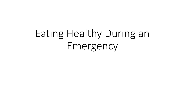# Eating Healthy During an Emergency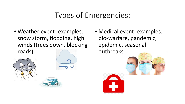## Types of Emergencies:

- Weather event- examples: snow storm, flooding, high winds (trees down, blocking roads)
- 



• Medical event- examples: bio-warfare, pandemic, epidemic, seasonal outbreaks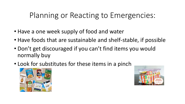## Planning or Reacting to Emergencies:

- Have a one week supply of food and water
- Have foods that are sustainable and shelf-stable, if possible
- Don't get discouraged if you can't find items you would normally buy
- Look for substitutes for these items in a pinch



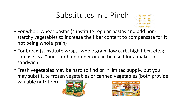#### Substitutes in a Pinch



- For whole wheat pastas (substitute regular pastas and add nonstarchy vegetables to increase the fiber content to compensate for it not being whole grain)
- For bread (substitute wraps- whole grain, low carb, high fiber, etc.); can use as a "bun" for hamburger or can be used for a make-shift sandwich
- Fresh vegetables may be hard to find or in limited supply, but you may substitute frozen vegetables or canned vegetables (both provide

valuable nutrition)



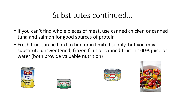#### Substitutes continued…

- If you can't find whole pieces of meat, use canned chicken or canned tuna and salmon for good sources of protein
- Fresh fruit can be hard to find or in limited supply, but you may substitute unsweetened, frozen fruit or canned fruit in 100% juice or water (both provide valuable nutrition)







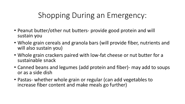# Shopping During an Emergency:

- Peanut butter/other nut butters- provide good protein and will sustain you
- Whole grain cereals and granola bars (will provide fiber, nutrients and will also sustain you)
- Whole grain crackers paired with low-fat cheese or nut butter for a sustainable snack
- Canned beans and legumes (add protein and fiber)- may add to soups or as a side dish
- Pastas- whether whole grain or regular (can add vegetables to increase fiber content and make meals go further)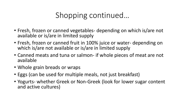## Shopping continued…

- Fresh, frozen or canned vegetables- depending on which is/are not available or is/are in limited supply
- Fresh, frozen or canned fruit in 100% juice or water- depending on which is/are not available or is/are in limited supply
- Canned meats and tuna or salmon- if whole pieces of meat are not available
- Whole grain breads or wraps
- Eggs (can be used for multiple meals, not just breakfast)
- Yogurts- whether Greek or Non-Greek (look for lower sugar content and active cultures)